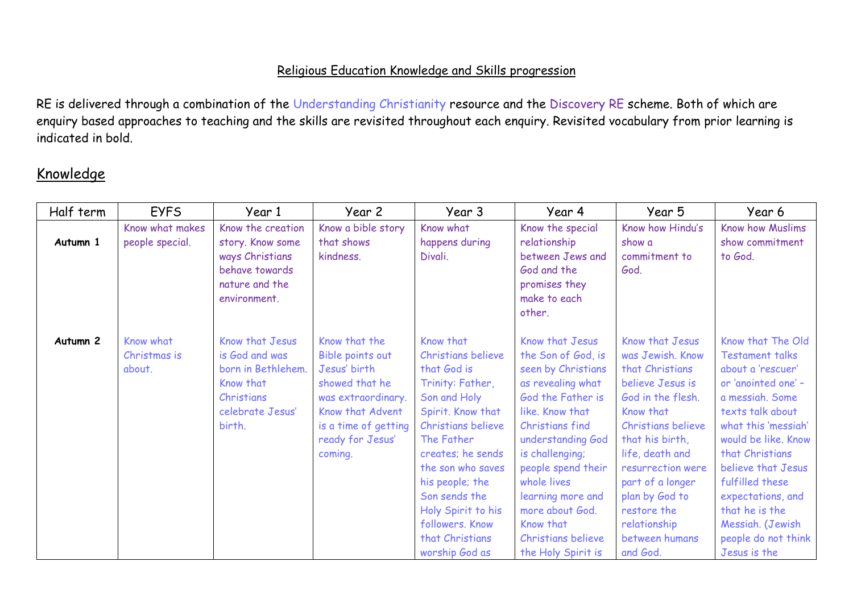## Religious Education Knowledge and Skills progression

RE is delivered through a combination of the Understanding Christianity resource and the Discovery RE scheme. Both of which are enquiry based approaches to teaching and the skills are revisited throughout each enquiry. Revisited vocabulary from prior learning is indicated in bold.

## Knowledge

| Half term           | <b>EYFS</b>     | Year 1                            | Year 2               | Year 3             | Year 4                          | Year 5                | Year 6                 |
|---------------------|-----------------|-----------------------------------|----------------------|--------------------|---------------------------------|-----------------------|------------------------|
|                     | Know what makes | Know the creation                 | Know a bible story   | Know what          | Know the special                | Know how Hindu's      | Know how Muslims       |
| Autumn 1            | people special. | story. Know some                  | that shows           | happens during     | relationship                    | show a                | show commitment        |
|                     |                 | ways Christians<br>behave towards | kindness.            | Divali.            | between Jews and<br>God and the | commitment to<br>God. | to God.                |
|                     |                 | nature and the                    |                      |                    | promises they                   |                       |                        |
|                     |                 | environment.                      |                      |                    | make to each                    |                       |                        |
|                     |                 |                                   |                      |                    | other.                          |                       |                        |
|                     |                 |                                   |                      |                    |                                 |                       |                        |
| Autumn <sub>2</sub> | Know what       | Know that Jesus                   | Know that the        | Know that          | Know that Jesus                 | Know that Jesus       | Know that The Old      |
|                     | Christmas is    | is God and was                    | Bible points out     | Christians believe | the Son of God, is              | was Jewish. Know      | <b>Testament talks</b> |
|                     | about.          | born in Bethlehem.                | Jesus' birth         | that God is        | seen by Christians              | that Christians       | about a 'rescuer'      |
|                     |                 | Know that                         | showed that he       | Trinity: Father,   | as revealing what               | believe Jesus is      | or 'anointed one' -    |
|                     |                 | Christians                        | was extraordinary.   | Son and Holy       | God the Father is               | God in the flesh.     | a messiah. Some        |
|                     |                 | celebrate Jesus'                  | Know that Advent     | Spirit. Know that  | like. Know that                 | Know that             | texts talk about       |
|                     |                 | birth.                            | is a time of getting | Christians believe | Christians find                 | Christians believe    | what this 'messiah'    |
|                     |                 |                                   | ready for Jesus'     | The Father         | understanding God               | that his birth,       | would be like. Know    |
|                     |                 |                                   | coming.              | creates; he sends  | is challenging;                 | life, death and       | that Christians        |
|                     |                 |                                   |                      | the son who saves  | people spend their              | resurrection were     | believe that Jesus     |
|                     |                 |                                   |                      | his people; the    | whole lives                     | part of a longer      | fulfilled these        |
|                     |                 |                                   |                      | Son sends the      | learning more and               | plan by God to        | expectations, and      |
|                     |                 |                                   |                      | Holy Spirit to his | more about God.                 | restore the           | that he is the         |
|                     |                 |                                   |                      | followers. Know    | Know that                       | relationship          | Messiah. (Jewish       |
|                     |                 |                                   |                      | that Christians    | Christians believe              | between humans        | people do not think    |
|                     |                 |                                   |                      | worship God as     | the Holy Spirit is              | and God.              | Jesus is the           |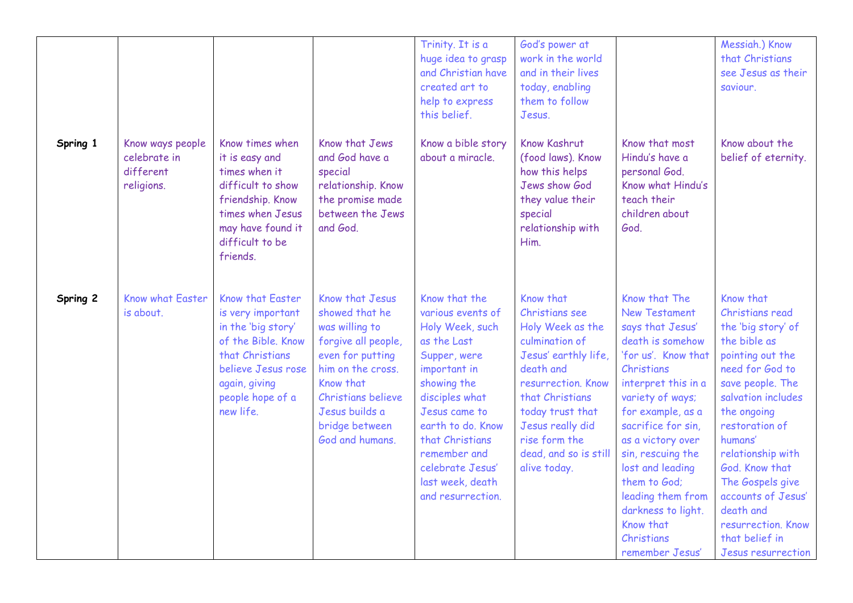|          |                                                             |                                                                                                                                                                              |                                                                                                                                                                                                               | Trinity. It is a<br>huge idea to grasp<br>and Christian have<br>created art to<br>help to express<br>this belief.                                                                                                                                                           | God's power at<br>work in the world<br>and in their lives<br>today, enabling<br>them to follow<br>Jesus.                                                                                                                                          |                                                                                                                                                                                                                                                                                                                                                                                 | Messiah.) Know<br>that Christians<br>see Jesus as their<br>saviour.                                                                                                                                                                                                                                                                                                |
|----------|-------------------------------------------------------------|------------------------------------------------------------------------------------------------------------------------------------------------------------------------------|---------------------------------------------------------------------------------------------------------------------------------------------------------------------------------------------------------------|-----------------------------------------------------------------------------------------------------------------------------------------------------------------------------------------------------------------------------------------------------------------------------|---------------------------------------------------------------------------------------------------------------------------------------------------------------------------------------------------------------------------------------------------|---------------------------------------------------------------------------------------------------------------------------------------------------------------------------------------------------------------------------------------------------------------------------------------------------------------------------------------------------------------------------------|--------------------------------------------------------------------------------------------------------------------------------------------------------------------------------------------------------------------------------------------------------------------------------------------------------------------------------------------------------------------|
| Spring 1 | Know ways people<br>celebrate in<br>different<br>religions. | Know times when<br>it is easy and<br>times when it<br>difficult to show<br>friendship. Know<br>times when Jesus<br>may have found it<br>difficult to be<br>friends.          | Know that Jews<br>and God have a<br>special<br>relationship. Know<br>the promise made<br>between the Jews<br>and God.                                                                                         | Know a bible story<br>about a miracle.                                                                                                                                                                                                                                      | <b>Know Kashrut</b><br>(food laws). Know<br>how this helps<br>Jews show God<br>they value their<br>special<br>relationship with<br>Him.                                                                                                           | Know that most<br>Hindu's have a<br>personal God.<br>Know what Hindu's<br>teach their<br>children about<br>God.                                                                                                                                                                                                                                                                 | Know about the<br>belief of eternity.                                                                                                                                                                                                                                                                                                                              |
| Spring 2 | <b>Know what Easter</b><br>is about.                        | Know that Easter<br>is very important<br>in the 'big story'<br>of the Bible. Know<br>that Christians<br>believe Jesus rose<br>again, giving<br>people hope of a<br>new life. | Know that Jesus<br>showed that he<br>was willing to<br>forgive all people,<br>even for putting<br>him on the cross.<br>Know that<br>Christians believe<br>Jesus builds a<br>bridge between<br>God and humans. | Know that the<br>various events of<br>Holy Week, such<br>as the Last<br>Supper, were<br>important in<br>showing the<br>disciples what<br>Jesus came to<br>earth to do. Know<br>that Christians<br>remember and<br>celebrate Jesus'<br>last week, death<br>and resurrection. | Know that<br>Christians see<br>Holy Week as the<br>culmination of<br>Jesus' earthly life,<br>death and<br>resurrection. Know<br>that Christians<br>today trust that<br>Jesus really did<br>rise form the<br>dead, and so is still<br>alive today. | Know that The<br><b>New Testament</b><br>says that Jesus'<br>death is somehow<br>'for us'. Know that<br>Christians<br>interpret this in a<br>variety of ways;<br>for example, as a<br>sacrifice for sin,<br>as a victory over<br>sin, rescuing the<br>lost and leading<br>them to God;<br>leading them from<br>darkness to light.<br>Know that<br>Christians<br>remember Jesus' | Know that<br>Christians read<br>the 'big story' of<br>the bible as<br>pointing out the<br>need for God to<br>save people. The<br>salvation includes<br>the ongoing<br>restoration of<br>humans'<br>relationship with<br>God. Know that<br>The Gospels give<br>accounts of Jesus'<br>death and<br>resurrection. Know<br>that belief in<br><b>Jesus resurrection</b> |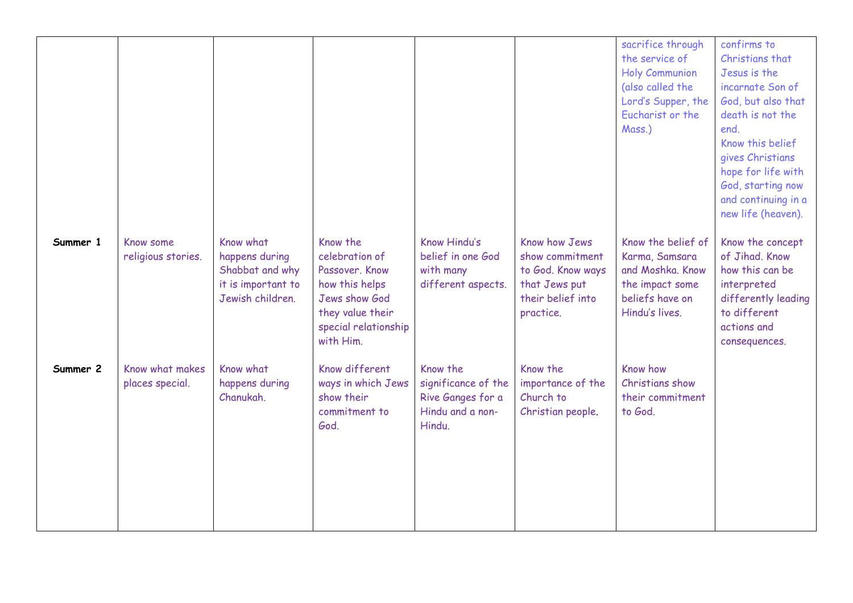|          |                                    |                                                                                          |                                                                                                                                          |                                                                                    |                                                                                                          | sacrifice through<br>the service of<br><b>Holy Communion</b><br>(also called the<br>Lord's Supper, the<br>Eucharist or the<br>Mass.) | confirms to<br>Christians that<br>Jesus is the<br>incarnate Son of<br>God, but also that<br>death is not the<br>end.<br>Know this belief<br>gives Christians<br>hope for life with<br>God, starting now<br>and continuing in a<br>new life (heaven). |
|----------|------------------------------------|------------------------------------------------------------------------------------------|------------------------------------------------------------------------------------------------------------------------------------------|------------------------------------------------------------------------------------|----------------------------------------------------------------------------------------------------------|--------------------------------------------------------------------------------------------------------------------------------------|------------------------------------------------------------------------------------------------------------------------------------------------------------------------------------------------------------------------------------------------------|
| Summer 1 | Know some<br>religious stories.    | Know what<br>happens during<br>Shabbat and why<br>it is important to<br>Jewish children. | Know the<br>celebration of<br>Passover, Know<br>how this helps<br>Jews show God<br>they value their<br>special relationship<br>with Him. | Know Hindu's<br>belief in one God<br>with many<br>different aspects.               | Know how Jews<br>show commitment<br>to God. Know ways<br>that Jews put<br>their belief into<br>practice. | Know the belief of<br>Karma, Samsara<br>and Moshka. Know<br>the impact some<br>beliefs have on<br>Hindu's lives.                     | Know the concept<br>of Jihad. Know<br>how this can be<br>interpreted<br>differently leading<br>to different<br>actions and<br>consequences.                                                                                                          |
| Summer 2 | Know what makes<br>places special. | Know what<br>happens during<br>Chanukah.                                                 | Know different<br>ways in which Jews<br>show their<br>commitment to<br>God.                                                              | Know the<br>significance of the<br>Rive Ganges for a<br>Hindu and a non-<br>Hindu. | Know the<br>importance of the<br>Church to<br>Christian people.                                          | Know how<br>Christians show<br>their commitment<br>to God.                                                                           |                                                                                                                                                                                                                                                      |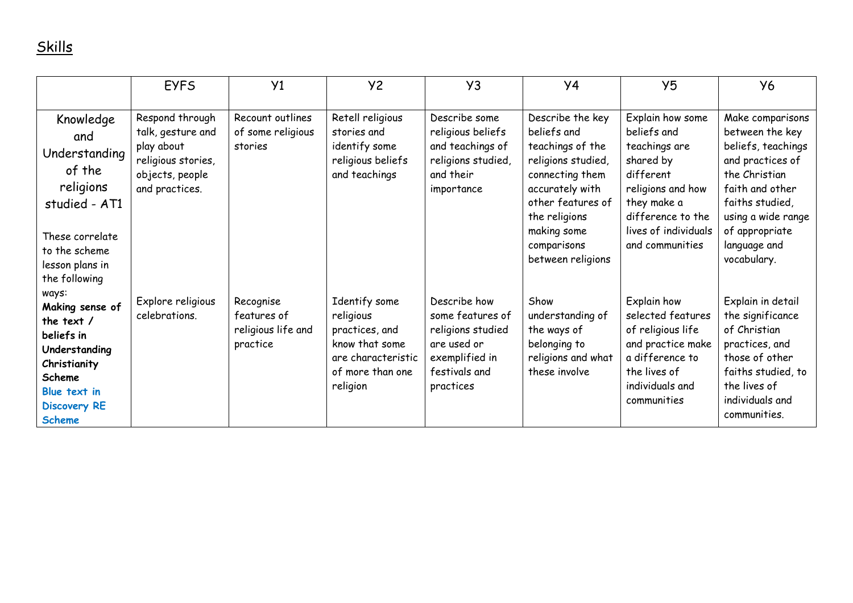## Skills

|                                                                                                                                                           | <b>EYFS</b>                                                                                                   | Y1                                                         | <b>Y2</b>                                                                                                            | Y3                                                                                                                   | Y <sub>4</sub>                                                                                                                                                                                           | Y <sub>5</sub>                                                                                                                                                                 | <b>Y6</b>                                                                                                                                                                                                   |
|-----------------------------------------------------------------------------------------------------------------------------------------------------------|---------------------------------------------------------------------------------------------------------------|------------------------------------------------------------|----------------------------------------------------------------------------------------------------------------------|----------------------------------------------------------------------------------------------------------------------|----------------------------------------------------------------------------------------------------------------------------------------------------------------------------------------------------------|--------------------------------------------------------------------------------------------------------------------------------------------------------------------------------|-------------------------------------------------------------------------------------------------------------------------------------------------------------------------------------------------------------|
| Knowledge<br>and<br>Understanding<br>of the<br>religions<br>studied - AT1<br>These correlate<br>to the scheme<br>lesson plans in<br>the following         | Respond through<br>talk, gesture and<br>play about<br>religious stories,<br>objects, people<br>and practices. | Recount outlines<br>of some religious<br>stories           | Retell religious<br>stories and<br>identify some<br>religious beliefs<br>and teachings                               | Describe some<br>religious beliefs<br>and teachings of<br>religions studied,<br>and their<br>importance              | Describe the key<br>beliefs and<br>teachings of the<br>religions studied,<br>connecting them<br>accurately with<br>other features of<br>the religions<br>making some<br>comparisons<br>between religions | Explain how some<br>beliefs and<br>teachings are<br>shared by<br>different<br>religions and how<br>they make a<br>difference to the<br>lives of individuals<br>and communities | Make comparisons<br>between the key<br>beliefs, teachings<br>and practices of<br>the Christian<br>faith and other<br>faiths studied,<br>using a wide range<br>of appropriate<br>language and<br>vocabulary. |
| ways:<br>Making sense of<br>the text $/$<br>beliefs in<br>Understanding<br>Christianity<br>Scheme<br>Blue text in<br><b>Discovery RE</b><br><b>Scheme</b> | Explore religious<br>celebrations.                                                                            | Recognise<br>features of<br>religious life and<br>practice | Identify some<br>religious<br>practices, and<br>know that some<br>are characteristic<br>of more than one<br>religion | Describe how<br>some features of<br>religions studied<br>are used or<br>exemplified in<br>festivals and<br>practices | Show<br>understanding of<br>the ways of<br>belonging to<br>religions and what<br>these involve                                                                                                           | Explain how<br>selected features<br>of religious life<br>and practice make<br>a difference to<br>the lives of<br>individuals and<br>communities                                | Explain in detail<br>the significance<br>of Christian<br>practices, and<br>those of other<br>faiths studied, to<br>the lives of<br>individuals and<br>communities.                                          |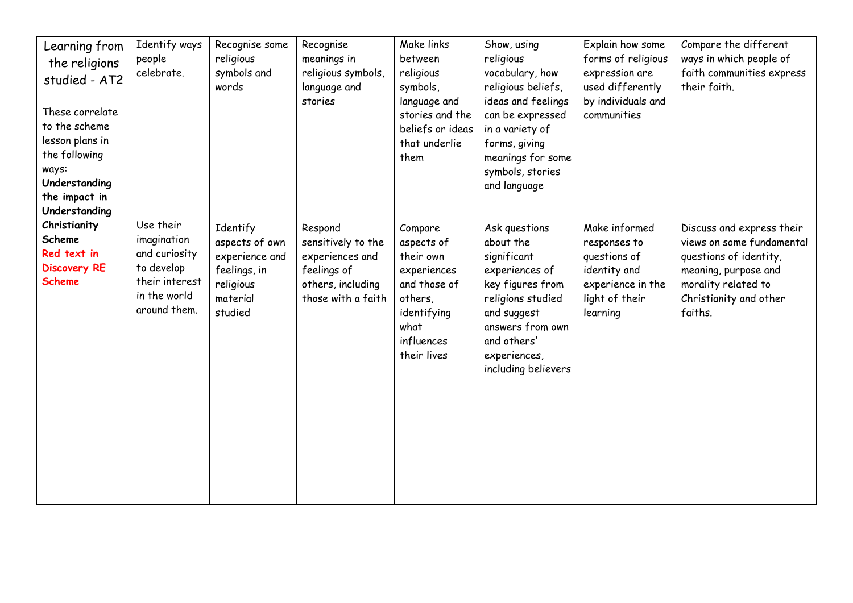| Learning from          | Identify ways  | Recognise some | Recognise          | Make links       | Show, using                     | Explain how some   | Compare the different     |
|------------------------|----------------|----------------|--------------------|------------------|---------------------------------|--------------------|---------------------------|
| the religions          | people         | religious      | meanings in        | between          | religious                       | forms of religious | ways in which people of   |
| studied - AT2          | celebrate.     | symbols and    | religious symbols, | religious        | vocabulary, how                 | expression are     | faith communities express |
|                        |                | words          | language and       | symbols,         | religious beliefs,              | used differently   | their faith.              |
| These correlate        |                |                | stories            | language and     | ideas and feelings              | by individuals and |                           |
| to the scheme          |                |                |                    | stories and the  | can be expressed                | communities        |                           |
| lesson plans in        |                |                |                    | beliefs or ideas | in a variety of                 |                    |                           |
| the following          |                |                |                    | that underlie    | forms, giving                   |                    |                           |
|                        |                |                |                    | them             | meanings for some               |                    |                           |
| ways:<br>Understanding |                |                |                    |                  | symbols, stories                |                    |                           |
| the impact in          |                |                |                    |                  | and language                    |                    |                           |
| Understanding          |                |                |                    |                  |                                 |                    |                           |
| Christianity           | Use their      |                |                    |                  |                                 |                    |                           |
| Scheme                 | imagination    | Identify       | Respond            | Compare          | Ask questions                   | Make informed      | Discuss and express their |
| Red text in            | and curiosity  | aspects of own | sensitively to the | aspects of       | about the                       | responses to       | views on some fundamental |
| <b>Discovery RE</b>    | to develop     | experience and | experiences and    | their own        | significant                     | questions of       | questions of identity,    |
| <b>Scheme</b>          | their interest | feelings, in   | feelings of        | experiences      | experiences of                  | identity and       | meaning, purpose and      |
|                        | in the world   | religious      | others, including  | and those of     | key figures from                | experience in the  | morality related to       |
|                        | around them.   | material       | those with a faith | others,          | religions studied               | light of their     | Christianity and other    |
|                        |                | studied        |                    | identifying      | and suggest<br>answers from own | learning           | faiths.                   |
|                        |                |                |                    | what             |                                 |                    |                           |
|                        |                |                |                    | influences       | and others'                     |                    |                           |
|                        |                |                |                    | their lives      | experiences,                    |                    |                           |
|                        |                |                |                    |                  | including believers             |                    |                           |
|                        |                |                |                    |                  |                                 |                    |                           |
|                        |                |                |                    |                  |                                 |                    |                           |
|                        |                |                |                    |                  |                                 |                    |                           |
|                        |                |                |                    |                  |                                 |                    |                           |
|                        |                |                |                    |                  |                                 |                    |                           |
|                        |                |                |                    |                  |                                 |                    |                           |
|                        |                |                |                    |                  |                                 |                    |                           |
|                        |                |                |                    |                  |                                 |                    |                           |
|                        |                |                |                    |                  |                                 |                    |                           |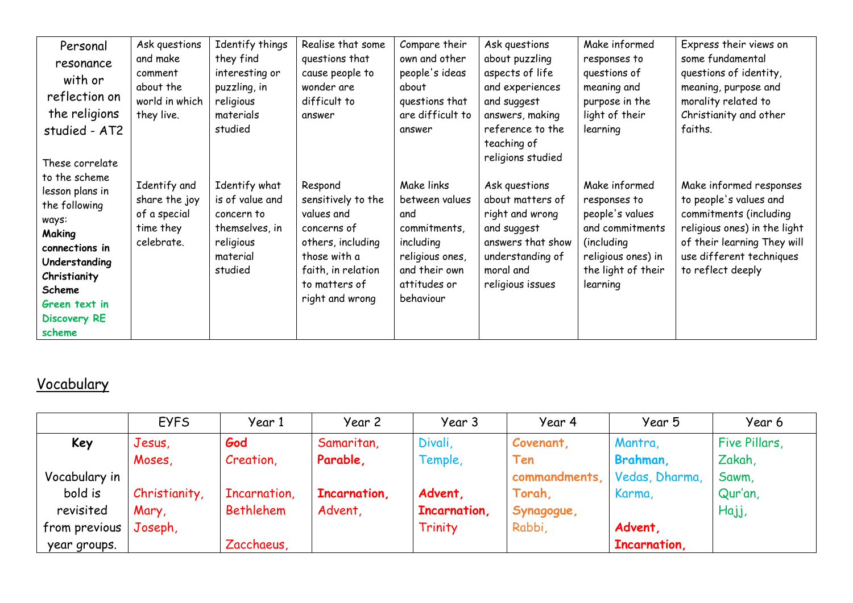| Personal<br>resonance<br>with or<br>reflection on<br>the religions<br>studied - AT2<br>These correlate                                                                              | Ask questions<br>and make<br>comment<br>about the<br>world in which<br>they live. | Identify things<br>they find<br>interesting or<br>puzzling, in<br>religious<br>materials<br>studied  | Realise that some<br>questions that<br>cause people to<br>wonder are<br>difficult to<br>answer                                                            | Compare their<br>own and other<br>people's ideas<br>about<br>questions that<br>are difficult to<br>answer                         | Ask questions<br>about puzzling<br>aspects of life<br>and experiences<br>and suggest<br>answers, making<br>reference to the<br>teaching of<br>religions studied | Make informed<br>responses to<br>questions of<br>meaning and<br>purpose in the<br>light of their<br>learning                               | Express their views on<br>some fundamental<br>questions of identity,<br>meaning, purpose and<br>morality related to<br>Christianity and other<br>faiths.                                    |
|-------------------------------------------------------------------------------------------------------------------------------------------------------------------------------------|-----------------------------------------------------------------------------------|------------------------------------------------------------------------------------------------------|-----------------------------------------------------------------------------------------------------------------------------------------------------------|-----------------------------------------------------------------------------------------------------------------------------------|-----------------------------------------------------------------------------------------------------------------------------------------------------------------|--------------------------------------------------------------------------------------------------------------------------------------------|---------------------------------------------------------------------------------------------------------------------------------------------------------------------------------------------|
| to the scheme<br>lesson plans in<br>the following<br>ways:<br>Making<br>connections in<br>Understanding<br>Christianity<br>Scheme<br>Green text in<br><b>Discovery RE</b><br>scheme | Identify and<br>share the joy<br>of a special<br>time they<br>celebrate.          | Identify what<br>is of value and<br>concern to<br>themselves, in<br>religious<br>material<br>studied | Respond<br>sensitively to the<br>values and<br>concerns of<br>others, including<br>those with a<br>faith, in relation<br>to matters of<br>right and wrong | Make links<br>between values<br>and<br>commitments,<br>including<br>religious ones,<br>and their own<br>attitudes or<br>behaviour | Ask questions<br>about matters of<br>right and wrong<br>and suggest<br>answers that show<br>understanding of<br>moral and<br>religious issues                   | Make informed<br>responses to<br>people's values<br>and commitments<br>(including)<br>religious ones) in<br>the light of their<br>learning | Make informed responses<br>to people's values and<br>commitments (including<br>religious ones) in the light<br>of their learning They will<br>use different techniques<br>to reflect deeply |

## Vocabulary

|               | <b>EYFS</b>   | Year 1           | Year 2       | Year 3       | Year 4                       | Year 5       | Year 6        |
|---------------|---------------|------------------|--------------|--------------|------------------------------|--------------|---------------|
| Key           | Jesus,        | God              | Samaritan,   | Divali,      | Covenant,                    | Mantra,      | Five Pillars, |
|               | Moses,        | Creation,        | Parable,     | Temple,      | Ten                          | Brahman,     | Zakah,        |
| Vocabulary in |               |                  |              |              | commandments, Vedas, Dharma, |              | Sawm,         |
| bold is       | Christianity, | Incarnation,     | Incarnation, | Advent,      | Torah,                       | Karma,       | Qur'an,       |
| revisited     | Mary,         | <b>Bethlehem</b> | Advent,      | Incarnation, | Synagogue,                   |              | Hajj,         |
| from previous | Joseph,       |                  |              | Trinity      | Rabbi,                       | Advent,      |               |
| year groups.  |               | Zacchaeus,       |              |              |                              | Incarnation, |               |